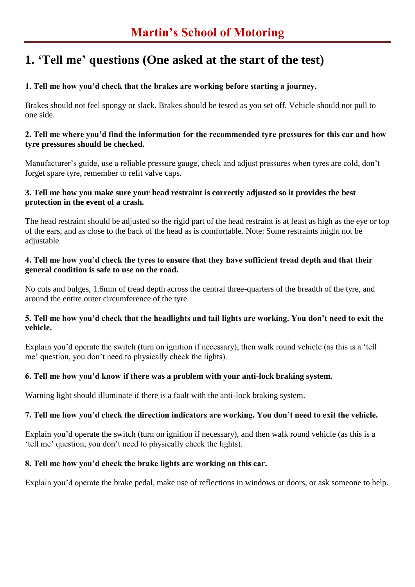# **1. 'Tell me' questions (One asked at the start of the test)**

## **1. Tell me how you'd check that the brakes are working before starting a journey.**

Brakes should not feel spongy or slack. Brakes should be tested as you set off. Vehicle should not pull to one side.

### **2. Tell me where you'd find the information for the recommended tyre pressures for this car and how tyre pressures should be checked.**

Manufacturer's guide, use a reliable pressure gauge, check and adjust pressures when tyres are cold, don't forget spare tyre, remember to refit valve caps.

### **3. Tell me how you make sure your head restraint is correctly adjusted so it provides the best protection in the event of a crash.**

The head restraint should be adjusted so the rigid part of the head restraint is at least as high as the eye or top of the ears, and as close to the back of the head as is comfortable. Note: Some restraints might not be adjustable.

### **4. Tell me how you'd check the tyres to ensure that they have sufficient tread depth and that their general condition is safe to use on the road.**

No cuts and bulges, 1.6mm of tread depth across the central three-quarters of the breadth of the tyre, and around the entire outer circumference of the tyre.

## **5. Tell me how you'd check that the headlights and tail lights are working. You don't need to exit the vehicle.**

Explain you'd operate the switch (turn on ignition if necessary), then walk round vehicle (as this is a 'tell me' question, you don't need to physically check the lights).

## **6. Tell me how you'd know if there was a problem with your anti-lock braking system.**

Warning light should illuminate if there is a fault with the anti-lock braking system.

## **7. Tell me how you'd check the direction indicators are working. You don't need to exit the vehicle.**

Explain you'd operate the switch (turn on ignition if necessary), and then walk round vehicle (as this is a 'tell me' question, you don't need to physically check the lights).

## **8. Tell me how you'd check the brake lights are working on this car.**

Explain you'd operate the brake pedal, make use of reflections in windows or doors, or ask someone to help.